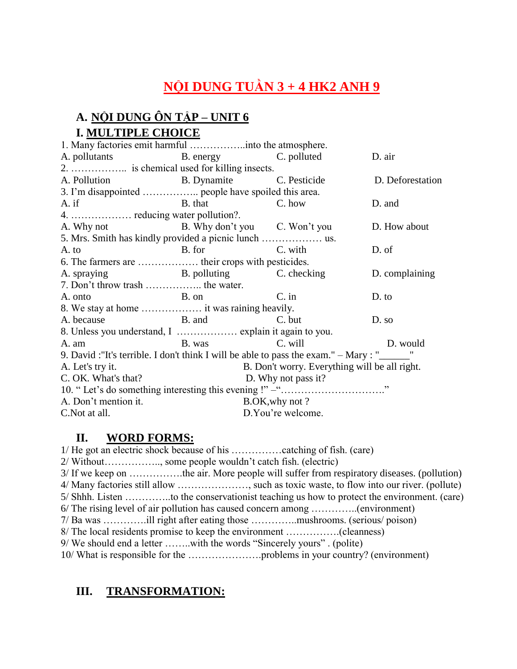# **NỘI DUNG TUẦN 3 + 4 HK2 ANH 9**

### **A. NỘI DUNG ÔN TẬP – UNIT 6 I. MULTIPLE CHOICE**

| A. pollutants B. energy C. polluted                                                   |                                               |                     | D. air         |
|---------------------------------------------------------------------------------------|-----------------------------------------------|---------------------|----------------|
|                                                                                       |                                               |                     |                |
| A. Pollution B. Dynamite C. Pesticide D. Deforestation                                |                                               |                     |                |
|                                                                                       |                                               |                     |                |
| A. if B. that C. how                                                                  |                                               |                     | D. and         |
|                                                                                       |                                               |                     |                |
| A. Why not B. Why don't you C. Won't you                                              |                                               |                     | D. How about   |
|                                                                                       |                                               |                     |                |
| A. to                                                                                 | B. for C. with                                |                     | D. of          |
| 6. The farmers are  their crops with pesticides.                                      |                                               |                     |                |
| A. spraying B. polluting C. checking                                                  |                                               |                     | D. complaining |
| 7. Don't throw trash  the water.                                                      |                                               |                     |                |
| A. onto                                                                               | B. on C. in                                   |                     | D. to          |
|                                                                                       |                                               |                     |                |
| A. because B. and                                                                     |                                               | C. but              | D. so          |
|                                                                                       |                                               |                     |                |
| A. am B. was C. will                                                                  |                                               | D. would            |                |
| 9. David : "It's terrible. I don't think I will be able to pass the exam." $-Mary:$ " |                                               |                     |                |
| A. Let's try it.                                                                      | B. Don't worry. Everything will be all right. |                     |                |
| C. OK. What's that?                                                                   |                                               | D. Why not pass it? |                |
|                                                                                       |                                               |                     |                |
| A. Don't mention it.                                                                  |                                               | B.OK, why not ?     |                |
| C. Not at all.                                                                        |                                               | D.You're welcome.   |                |

#### **II. WORD FORMS:**

1/ He got an electric shock because of his ……………catching of fish. (care) 2/ Without…………….., some people wouldn't catch fish. (electric) 3/ If we keep on …………….the air. More people will suffer from respiratory diseases. (pollution) 4/ Many factories still allow …………………, such as toxic waste, to flow into our river. (pollute) 5/ Shhh. Listen …………..to the conservationist teaching us how to protect the environment. (care) 6/ The rising level of air pollution has caused concern among …………..(environment) 7/ Ba was ………….ill right after eating those …………..mushrooms. (serious/ poison) 8/ The local residents promise to keep the environment …………….(cleanness) 9/ We should end a letter ……..with the words "Sincerely yours" . (polite) 10/ What is responsible for the ………………….problems in your country? (environment)

#### **III. TRANSFORMATION:**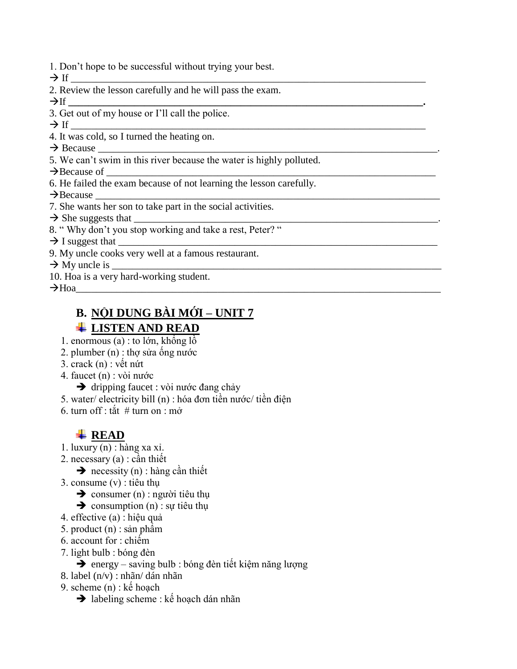- 1. Don't hope to be successful without trying your best.
- If \_\_\_\_\_\_\_\_\_\_\_\_\_\_\_\_\_\_\_\_\_\_\_\_\_\_\_\_\_\_\_\_\_\_\_\_\_\_\_\_\_\_\_\_\_\_\_\_\_\_\_\_\_\_\_\_\_\_\_\_\_\_\_\_\_\_\_\_\_\_
- 2. Review the lesson carefully and he will pass the exam.

If **\_\_\_\_\_\_\_\_\_\_\_\_\_\_\_\_\_\_\_\_\_\_\_\_\_\_\_\_\_\_\_\_\_\_\_\_\_\_\_\_\_\_\_\_\_\_\_\_\_\_\_\_\_\_\_\_\_\_\_\_\_\_\_\_\_\_\_\_\_\_.**

3. Get out of my house or I'll call the police.

If \_\_\_\_\_\_\_\_\_\_\_\_\_\_\_\_\_\_\_\_\_\_\_\_\_\_\_\_\_\_\_\_\_\_\_\_\_\_\_\_\_\_\_\_\_\_\_\_\_\_\_\_\_\_\_\_\_\_\_\_\_\_\_\_\_\_\_\_\_\_

4. It was cold, so I turned the heating on.

 $\rightarrow$  Because

5. We can't swim in this river because the water is highly polluted.

 $\rightarrow$  Because of

6. He failed the exam because of not learning the lesson carefully.

 $\rightarrow$  Because

7. She wants her son to take part in the social activities.

 $\rightarrow$  She suggests that

- 8. " Why don't you stop working and take a rest, Peter? "
- $\rightarrow$  I suggest that
- 9. My uncle cooks very well at a famous restaurant.

 $\rightarrow$  My uncle is

10. Hoa is a very hard-working student.

Hoa\_\_\_\_\_\_\_\_\_\_\_\_\_\_\_\_\_\_\_\_\_\_\_\_\_\_\_\_\_\_\_\_\_\_\_\_\_\_\_\_\_\_\_\_\_\_\_\_\_\_\_\_\_\_\_\_\_\_\_\_\_\_\_\_\_\_\_\_\_\_\_\_

#### **B. NỘI DUNG BÀI MỚI – UNIT 7 LISTEN AND READ**

- 1. enormous (a) : to lớn, khổng lồ
- 2. plumber (n) : thợ sửa ống nước
- 3. crack (n) : vết nứt
- 4. faucet (n) : vòi nước
	- $\rightarrow$  dripping faucet : vòi nước đang chảy
- 5. water/ electricity bill (n) : hóa đơn tiền nước/ tiền điện
- 6. turn off  $\cdot$  tắt  $\#$  turn on  $\cdot$  mở

#### **READ**

- 1. luxury (n) : hàng xa xỉ.
- 2. necessary (a) : cần thiết

 $\rightarrow$  necessity (n) : hàng cần thiết

3. consume (v) : tiêu thụ

 $\rightarrow$  consumer (n) : người tiêu thu

 $\rightarrow$  consumption (n) : sự tiêu thụ

- 4. effective (a) : hiệu quả
- 5. product (n) : sản phẩm
- 6. account for : chiếm
- 7. light bulb : bóng đèn
	- $\rightarrow$  energy saving bulb : bóng đèn tiết kiệm năng lượng
- 8. label (n/v) : nhãn/ dán nhãn
- 9. scheme (n) : kế hoạch
	- $\rightarrow$  labeling scheme : kế hoạch dán nhãn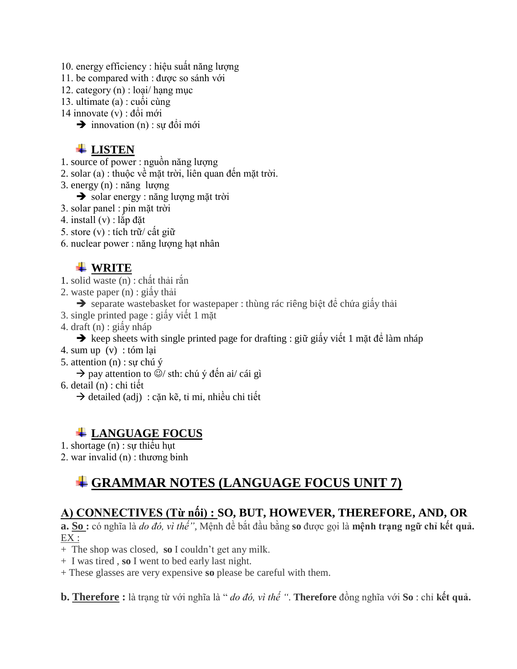10. energy efficiency : hiệu suất năng lượng

11. be compared with : được so sánh với

12. category (n) : loại/ hạng mục

13. ultimate (a) : cuối cùng

14 innovate (v) : đổi mới

 $\rightarrow$  innovation (n) : sự đổi mới

#### **LISTEN**

- 1. source of power : nguồn năng lượng
- 2. solar (a) : thuộc về mặt trời, liên quan đến mặt trời.

3. energy (n) : năng lượng

solar energy : năng lượng mặt trời

3. solar panel : pin mặt trời

4. install (v) : lắp đặt

5. store (v) : tích trữ/ cất giữ

6. nuclear power : năng lượng hạt nhân

#### **WRITE**

- 1. solid waste (n) : chất thải rắn
- 2. waste paper (n) : giấy thải
- $\rightarrow$  separate wastebasket for wastepaper : thùng rác riêng biệt để chứa giấy thải
- 3. single printed page : giấy viết 1 mặt
- 4. draft (n) : giấy nháp

 $\rightarrow$  keep sheets with single printed page for drafting : giữ giấy viết 1 mặt để làm nháp

- 4. sum up (v) : tóm lại
- 5. attention (n) : sự chú ý

 $\rightarrow$  pay attention to  $\ddot{\odot}$ / sth: chú ý đến ai/ cái gì

- 6. detail (n) : chi tiết
	- $\rightarrow$  detailed (adj) : cặn kẽ, tỉ mỉ, nhiều chi tiết

### **LANGUAGE FOCUS**

1. shortage (n) : sự thiếu hụt

2. war invalid (n) : thương binh

## **GRAMMAR NOTES (LANGUAGE FOCUS UNIT 7)**

### **A) CONNECTIVES (Từ nối) : SO, BUT, HOWEVER, THEREFORE, AND, OR**

**a. So :** có nghĩa là *do đó, vì thế",* Mệnh đề bắt đầu bằng **so** được gọi là **mệnh trạng ngữ chỉ kết quả.** EX :

+ The shop was closed, **so** I couldn't get any milk.

+ I was tired , **so** I went to bed early last night.

+ These glasses are very expensive **so** please be careful with them.

**b. Therefore :** là trạng từ với nghĩa là " *do đó, vì thế "*. **Therefore** đồng nghĩa với **So** : chỉ **kết quả.**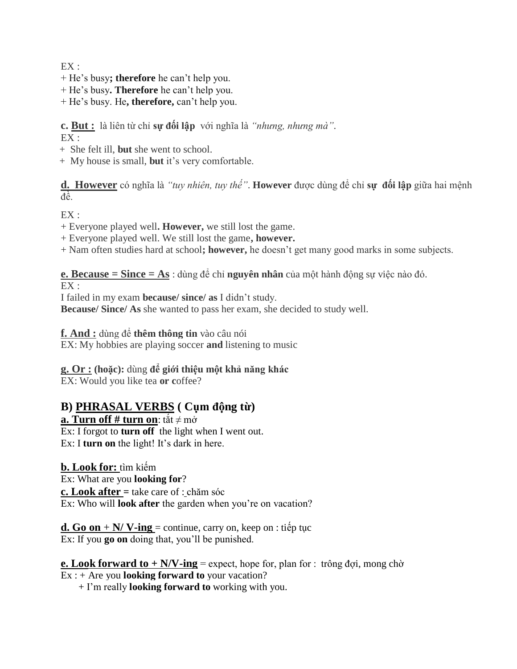$EX:$ 

- + He's busy**; therefore** he can't help you.
- + He's busy**. Therefore** he can't help you.
- + He's busy. He**, therefore,** can't help you.

**c. But :** là liên từ chỉ **sự đối lập** với nghĩa là *"nhưng, nhưng mà"*.  $EX:$ 

- + She felt ill, **but** she went to school.
- + My house is small, **but** it's very comfortable.

**d. However** có nghĩa là *"tuy nhiên, tuy thế"*. **However** được dùng để chỉ **sự đối lập** giữa hai mệnh đề.

 $EX:$ 

- + Everyone played well**. However,** we still lost the game.
- + Everyone played well. We still lost the game**, however.**
- + Nam often studies hard at school**; however,** he doesn't get many good marks in some subjects.

**e. Because = Since = As** : dùng để chỉ **nguyên nhân** của một hành động sự việc nào đó.

 $EX:$ 

I failed in my exam **because/ since/ as** I didn't study.

**Because/ Since/ As** she wanted to pass her exam, she decided to study well.

**f. And :** dùng để **thêm thông tin** vào câu nói

EX: My hobbies are playing soccer **and** listening to music

**g. Or : (hoặc):** dùng **để giới thiệu một khả năng khác** EX: Would you like tea **or c**offee?

#### **B) PHRASAL VERBS ( Cụm động từ)**

**a. Turn off # turn on**: tắt ≠ mở

Ex: I forgot to **turn off** the light when I went out. Ex: I **turn on** the light! It's dark in here.

**b. Look for:** tìm kiếm Ex: What are you **looking for**? **c. Look after =** take care of : chăm sóc Ex: Who will **look after** the garden when you're on vacation?

**d. Go on** +  $N/\nu$ -ing = continue, carry on, keep on : tiếp tục Ex: If you **go on** doing that, you'll be punished.

**e. Look forward to + N/V-ing** = expect, hope for, plan for : trông đợi, mong chờ Ex : + Are you **looking forward to** your vacation?

+ I'm really **looking forward to** working with you.